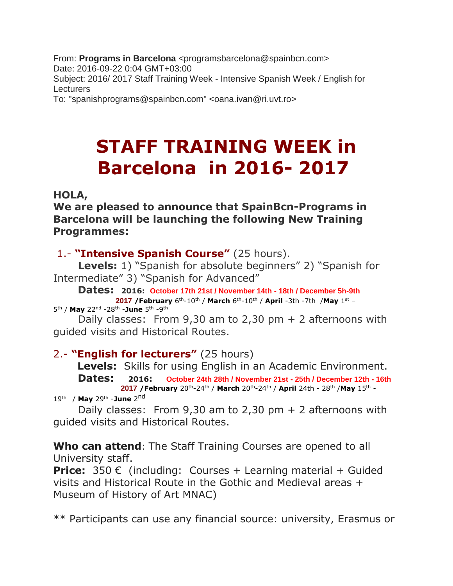From: **Programs in Barcelona** <programsbarcelona@spainbcn.com> Date: 2016-09-22 0:04 GMT+03:00 Subject: 2016/ 2017 Staff Training Week - Intensive Spanish Week / English for **Lecturers** 

To: "spanishprograms@spainbcn.com" <oana.ivan@ri.uvt.ro>

## **STAFF TRAINING WEEK in Barcelona in 2016- 2017**

## **HOLA,**

**We are pleased to announce that SpainBcn-Programs in Barcelona will be launching the following New Training Programmes:**

1.- **"Intensive Spanish Course"** (25 hours).

 **Levels:** 1) "Spanish for absolute beginners" 2) "Spanish for Intermediate" 3) "Spanish for Advanced"

 **Dates: 2016: October 17th 21st / November 14th - 18th / December 5h-9th 2017 /February** 6 th-10th / **March** 6 th-10th / **April** -3th -7th /**May** 1 st –

5<sup>th</sup> / **May** 22<sup>nd</sup> -28<sup>th</sup> -**June** 5<sup>th</sup> -9<sup>th</sup>

Daily classes: From  $9,30$  am to  $2,30$  pm  $+ 2$  afternoons with guided visits and Historical Routes.

## 2.- **"English for lecturers"** (25 hours)

 **Levels:** Skills for using English in an Academic Environment.

 **Dates: 2016: October 24th 28th / November 21st - 25th / December 12th - 16th 2017 /February** 20th-24th / **March** 20th-24th / **April** 24th - 28th /**May** 15th - 19th / **May** 29th -**June** 2 nd

Daily classes: From  $9,30$  am to  $2,30$  pm  $+$  2 afternoons with guided visits and Historical Routes.

**Who can attend**: The Staff Training Courses are opened to all

University staff.

**Price:** 350 € (including: Courses + Learning material + Guided visits and Historical Route in the Gothic and Medieval areas + Museum of History of Art MNAC)

\*\* Participants can use any financial source: university, Erasmus or